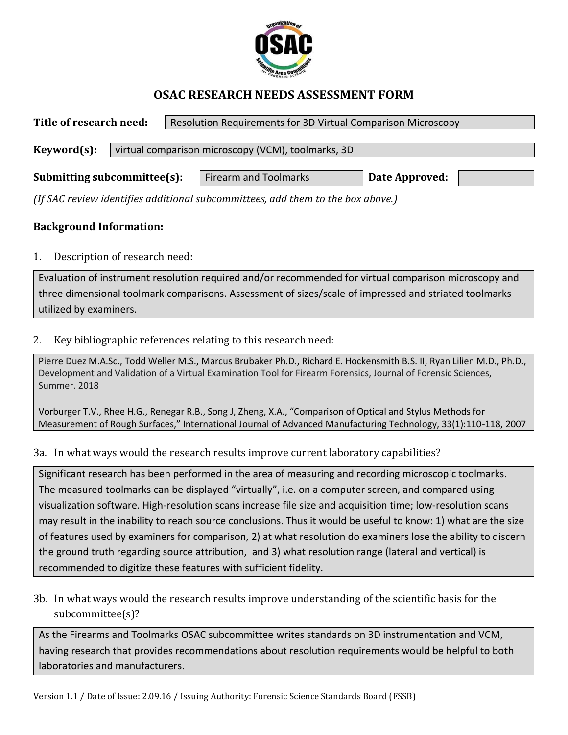

# **OSAC RESEARCH NEEDS ASSESSMENT FORM**

**Title of research need:** Resolution Requirements for 3D Virtual Comparison Microscopy **Keyword(s):** virtual comparison microscopy (VCM), toolmarks, 3D **Submitting subcommittee(s):** | Firearm and Toolmarks | Date Approved:

*(If SAC review identifies additional subcommittees, add them to the box above.)*

### **Background Information:**

1. Description of research need:

Evaluation of instrument resolution required and/or recommended for virtual comparison microscopy and three dimensional toolmark comparisons. Assessment of sizes/scale of impressed and striated toolmarks utilized by examiners.

#### 2. Key bibliographic references relating to this research need:

[Pierre Duez M.A.Sc.,](https://onlinelibrary.wiley.com/action/doSearch?ContribAuthorStored=Duez%2C+Pierre) [Todd Weller M.S.,](https://onlinelibrary.wiley.com/action/doSearch?ContribAuthorStored=Weller%2C+Todd) [Marcus Brubaker Ph.D.,](https://onlinelibrary.wiley.com/action/doSearch?ContribAuthorStored=Brubaker%2C+Marcus) [Richard E. Hockensmith B.S. II,](https://onlinelibrary.wiley.com/action/doSearch?ContribAuthorStored=Hockensmith%2C+Richard+E) [Ryan Lilien M.D., Ph.D.,](https://onlinelibrary.wiley.com/action/doSearch?ContribAuthorStored=Lilien%2C+Ryan) Development and Validation of a Virtual Examination Tool for Firearm Forensics, Journal of Forensic Sciences, Summer. 2018

Vorburger T.V., Rhee H.G., Renegar R.B., Song J, Zheng, X.A., "Comparison of Optical and Stylus Methods for Measurement of Rough Surfaces," International Journal of Advanced Manufacturing Technology, 33(1):110-118, 2007

#### 3a. In what ways would the research results improve current laboratory capabilities?

Significant research has been performed in the area of measuring and recording microscopic toolmarks. The measured toolmarks can be displayed "virtually", i.e. on a computer screen, and compared using visualization software. High-resolution scans increase file size and acquisition time; low-resolution scans may result in the inability to reach source conclusions. Thus it would be useful to know: 1) what are the size of features used by examiners for comparison, 2) at what resolution do examiners lose the ability to discern the ground truth regarding source attribution, and 3) what resolution range (lateral and vertical) is recommended to digitize these features with sufficient fidelity.

3b. In what ways would the research results improve understanding of the scientific basis for the subcommittee(s)?

As the Firearms and Toolmarks OSAC subcommittee writes standards on 3D instrumentation and VCM, having research that provides recommendations about resolution requirements would be helpful to both laboratories and manufacturers.